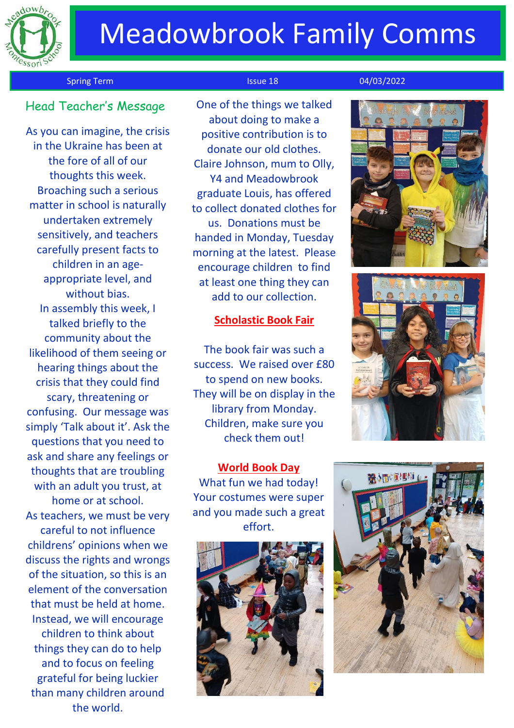

# Meadowbrook Family Comms

### Spring Term **Issue 18** 04/03/2022

## Head Teacher's Messag<sup>e</sup>

As you can imagine, the crisis in the Ukraine has been at the fore of all of our thoughts this week. Broaching such a serious matter in school is naturally undertaken extremely sensitively, and teachers carefully present facts to children in an ageappropriate level, and without bias. In assembly this week, I talked briefly to the community about the likelihood of them seeing or hearing things about the crisis that they could find scary, threatening or confusing. Our message was simply 'Talk about it'. Ask the questions that you need to ask and share any feelings or thoughts that are troubling with an adult you trust, at home or at school. As teachers, we must be very careful to not influence childrens' opinions when we discuss the rights and wrongs of the situation, so this is an element of the conversation that must be held at home. Instead, we will encourage children to think about things they can do to help and to focus on feeling grateful for being luckier than many children around the world.

One of the things we talked about doing to make a positive contribution is to donate our old clothes. Claire Johnson, mum to Olly, Y4 and Meadowbrook graduate Louis, has offered to collect donated clothes for us. Donations must be handed in Monday, Tuesday morning at the latest. Please encourage children to find at least one thing they can add to our collection.

## **Scholastic Book Fair**

The book fair was such a success. We raised over £80 to spend on new books. They will be on display in the library from Monday. Children, make sure you check them out!

**World Book Day** What fun we had today! Your costumes were super and you made such a great effort.